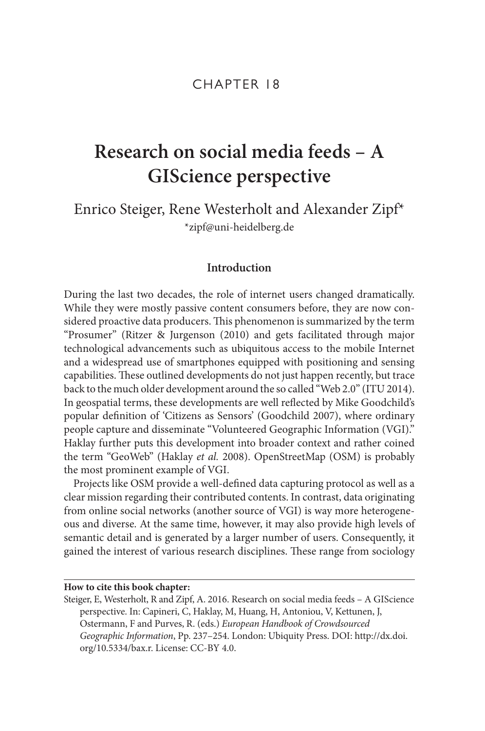## CHAPTER 18

# **Research on social media feeds – A GIScience perspective**

Enrico Steiger, Rene Westerholt and Alexander Zipf\* [\\*zipf@uni-heidelberg.de](mailto:zipf@uni-heidelberg.de)

### **Introduction**

During the last two decades, the role of internet users changed dramatically. While they were mostly passive content consumers before, they are now considered proactive data producers. This phenomenon is summarized by the term "Prosumer" (Ritzer & Jurgenson (2010) and gets facilitated through major technological advancements such as ubiquitous access to the mobile Internet and a widespread use of smartphones equipped with positioning and sensing capabilities. These outlined developments do not just happen recently, but trace back to the much older development around the so called "Web 2.0" (ITU 2014). In geospatial terms, these developments are well reflected by Mike Goodchild's popular definition of 'Citizens as Sensors' (Goodchild 2007), where ordinary people capture and disseminate "Volunteered Geographic Information (VGI)." Haklay further puts this development into broader context and rather coined the term "GeoWeb" (Haklay *et al.* 2008). OpenStreetMap (OSM) is probably the most prominent example of VGI.

Projects like OSM provide a well-defined data capturing protocol as well as a clear mission regarding their contributed contents. In contrast, data originating from online social networks (another source of VGI) is way more heterogeneous and diverse. At the same time, however, it may also provide high levels of semantic detail and is generated by a larger number of users. Consequently, it gained the interest of various research disciplines. These range from sociology

**How to cite this book chapter:** 

Steiger, E, Westerholt, R and Zipf, A. 2016. Research on social media feeds – A GIScience perspective. In: Capineri, C, Haklay, M, Huang, H, Antoniou, V, Kettunen, J, Ostermann, F and Purves, R. (eds.) *European Handbook of Crowdsourced Geographic Information*, Pp. 237–254. London: Ubiquity Press. DOI: [http://dx.doi.](http://dx.doi.org/10.5334/bax.r) [org/10.5334/bax.r](http://dx.doi.org/10.5334/bax.r). License: CC-BY 4.0.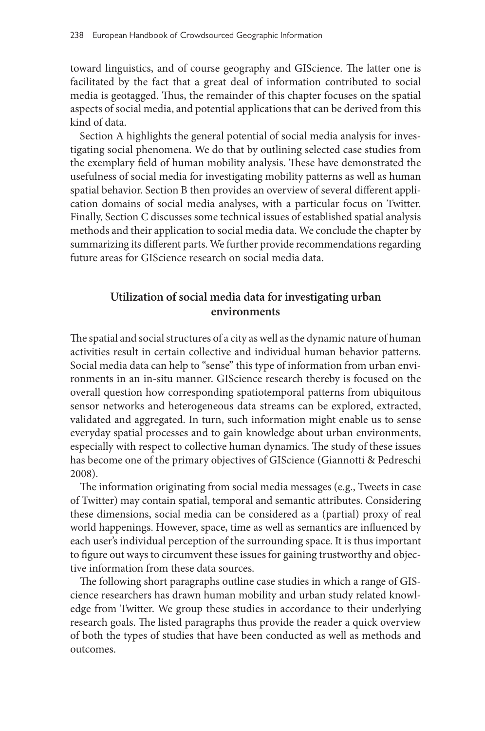toward linguistics, and of course geography and GIScience. The latter one is facilitated by the fact that a great deal of information contributed to social media is geotagged. Thus, the remainder of this chapter focuses on the spatial aspects of social media, and potential applications that can be derived from this kind of data.

Section A highlights the general potential of social media analysis for investigating social phenomena. We do that by outlining selected case studies from the exemplary field of human mobility analysis. These have demonstrated the usefulness of social media for investigating mobility patterns as well as human spatial behavior. Section B then provides an overview of several different application domains of social media analyses, with a particular focus on Twitter. Finally, Section C discusses some technical issues of established spatial analysis methods and their application to social media data. We conclude the chapter by summarizing its different parts. We further provide recommendations regarding future areas for GIScience research on social media data.

### **Utilization of social media data for investigating urban environments**

The spatial and social structures of a city as well as the dynamic nature of human activities result in certain collective and individual human behavior patterns. Social media data can help to "sense" this type of information from urban environments in an in-situ manner. GIScience research thereby is focused on the overall question how corresponding spatiotemporal patterns from ubiquitous sensor networks and heterogeneous data streams can be explored, extracted, validated and aggregated. In turn, such information might enable us to sense everyday spatial processes and to gain knowledge about urban environments, especially with respect to collective human dynamics. The study of these issues has become one of the primary objectives of GIScience (Giannotti & Pedreschi 2008).

The information originating from social media messages (e.g., Tweets in case of Twitter) may contain spatial, temporal and semantic attributes. Considering these dimensions, social media can be considered as a (partial) proxy of real world happenings. However, space, time as well as semantics are influenced by each user's individual perception of the surrounding space. It is thus important to figure out ways to circumvent these issues for gaining trustworthy and objective information from these data sources.

The following short paragraphs outline case studies in which a range of GIScience researchers has drawn human mobility and urban study related knowledge from Twitter. We group these studies in accordance to their underlying research goals. The listed paragraphs thus provide the reader a quick overview of both the types of studies that have been conducted as well as methods and outcomes.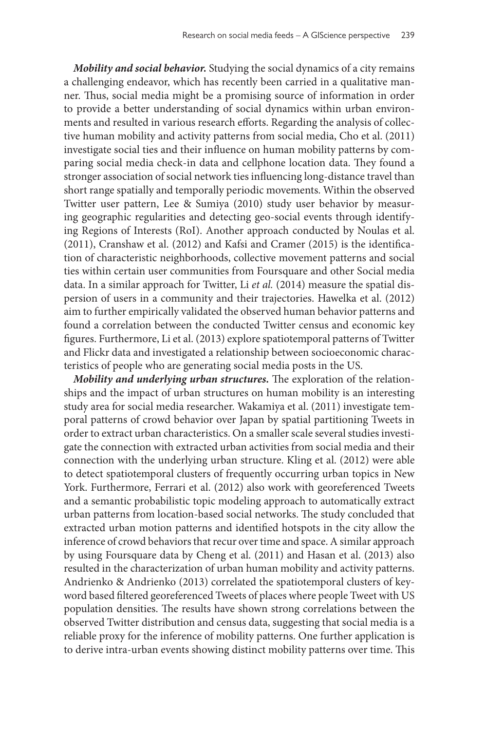*Mobility and social behavior.* Studying the social dynamics of a city remains a challenging endeavor, which has recently been carried in a qualitative manner. Thus, social media might be a promising source of information in order to provide a better understanding of social dynamics within urban environments and resulted in various research efforts. Regarding the analysis of collective human mobility and activity patterns from social media, Cho et al. (2011) investigate social ties and their influence on human mobility patterns by comparing social media check-in data and cellphone location data. They found a stronger association of social network ties influencing long-distance travel than short range spatially and temporally periodic movements. Within the observed Twitter user pattern, Lee & Sumiya (2010) study user behavior by measuring geographic regularities and detecting geo-social events through identifying Regions of Interests (RoI). Another approach conducted by Noulas et al. (2011), Cranshaw et al. (2012) and Kafsi and Cramer (2015) is the identification of characteristic neighborhoods, collective movement patterns and social ties within certain user communities from Foursquare and other Social media data. In a similar approach for Twitter, Li *et al.* (2014) measure the spatial dispersion of users in a community and their trajectories. Hawelka et al. (2012) aim to further empirically validated the observed human behavior patterns and found a correlation between the conducted Twitter census and economic key figures. Furthermore, Li et al. (2013) explore spatiotemporal patterns of Twitter and Flickr data and investigated a relationship between socioeconomic characteristics of people who are generating social media posts in the US.

*Mobility and underlying urban structures.* The exploration of the relationships and the impact of urban structures on human mobility is an interesting study area for social media researcher. Wakamiya et al. (2011) investigate temporal patterns of crowd behavior over Japan by spatial partitioning Tweets in order to extract urban characteristics. On a smaller scale several studies investigate the connection with extracted urban activities from social media and their connection with the underlying urban structure. Kling et al. (2012) were able to detect spatiotemporal clusters of frequently occurring urban topics in New York. Furthermore, Ferrari et al. (2012) also work with georeferenced Tweets and a semantic probabilistic topic modeling approach to automatically extract urban patterns from location-based social networks. The study concluded that extracted urban motion patterns and identified hotspots in the city allow the inference of crowd behaviors that recur over time and space. A similar approach by using Foursquare data by Cheng et al. (2011) and Hasan et al. (2013) also resulted in the characterization of urban human mobility and activity patterns. Andrienko & Andrienko (2013) correlated the spatiotemporal clusters of keyword based filtered georeferenced Tweets of places where people Tweet with US population densities. The results have shown strong correlations between the observed Twitter distribution and census data, suggesting that social media is a reliable proxy for the inference of mobility patterns. One further application is to derive intra-urban events showing distinct mobility patterns over time. This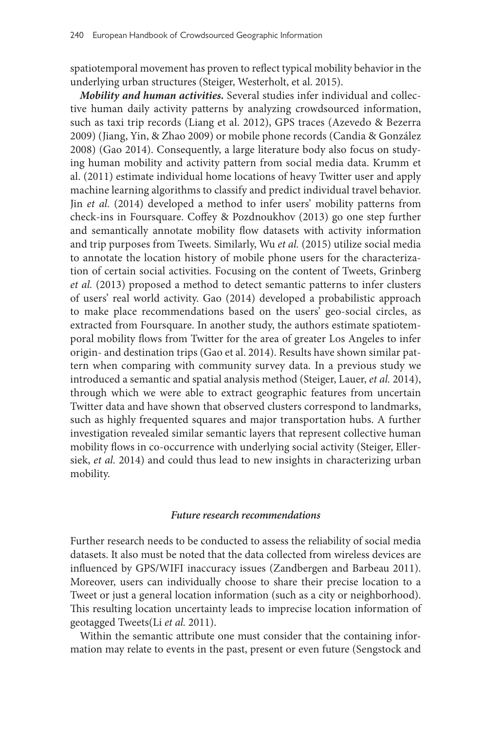spatiotemporal movement has proven to reflect typical mobility behavior in the underlying urban structures (Steiger, Westerholt, et al. 2015).

*Mobility and human activities.* Several studies infer individual and collective human daily activity patterns by analyzing crowdsourced information, such as taxi trip records (Liang et al. 2012), GPS traces (Azevedo & Bezerra 2009) (Jiang, Yin, & Zhao 2009) or mobile phone records (Candia & González 2008) (Gao 2014). Consequently, a large literature body also focus on studying human mobility and activity pattern from social media data. Krumm et al. (2011) estimate individual home locations of heavy Twitter user and apply machine learning algorithms to classify and predict individual travel behavior. Jin *et al.* (2014) developed a method to infer users' mobility patterns from check-ins in Foursquare. Coffey & Pozdnoukhov (2013) go one step further and semantically annotate mobility flow datasets with activity information and trip purposes from Tweets. Similarly, Wu *et al.* (2015) utilize social media to annotate the location history of mobile phone users for the characterization of certain social activities. Focusing on the content of Tweets, Grinberg *et al.* (2013) proposed a method to detect semantic patterns to infer clusters of users' real world activity. Gao (2014) developed a probabilistic approach to make place recommendations based on the users' geo-social circles, as extracted from Foursquare. In another study, the authors estimate spatiotemporal mobility flows from Twitter for the area of greater Los Angeles to infer origin- and destination trips (Gao et al. 2014). Results have shown similar pattern when comparing with community survey data. In a previous study we introduced a semantic and spatial analysis method (Steiger, Lauer, *et al.* 2014), through which we were able to extract geographic features from uncertain Twitter data and have shown that observed clusters correspond to landmarks, such as highly frequented squares and major transportation hubs. A further investigation revealed similar semantic layers that represent collective human mobility flows in co-occurrence with underlying social activity (Steiger, Ellersiek, *et al.* 2014) and could thus lead to new insights in characterizing urban mobility.

### *Future research recommendations*

Further research needs to be conducted to assess the reliability of social media datasets. It also must be noted that the data collected from wireless devices are influenced by GPS/WIFI inaccuracy issues (Zandbergen and Barbeau 2011). Moreover, users can individually choose to share their precise location to a Tweet or just a general location information (such as a city or neighborhood). This resulting location uncertainty leads to imprecise location information of geotagged Tweets(Li *et al.* 2011).

Within the semantic attribute one must consider that the containing information may relate to events in the past, present or even future (Sengstock and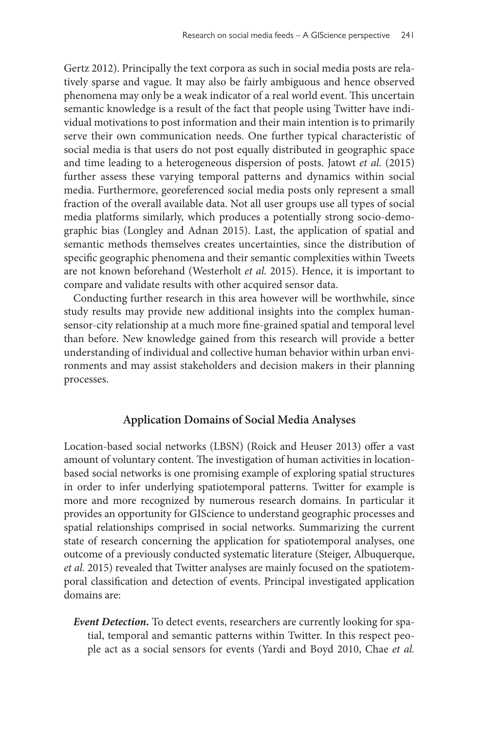Gertz 2012). Principally the text corpora as such in social media posts are relatively sparse and vague. It may also be fairly ambiguous and hence observed phenomena may only be a weak indicator of a real world event. This uncertain semantic knowledge is a result of the fact that people using Twitter have individual motivations to post information and their main intention is to primarily serve their own communication needs. One further typical characteristic of social media is that users do not post equally distributed in geographic space and time leading to a heterogeneous dispersion of posts. Jatowt *et al.* (2015) further assess these varying temporal patterns and dynamics within social media. Furthermore, georeferenced social media posts only represent a small fraction of the overall available data. Not all user groups use all types of social media platforms similarly, which produces a potentially strong socio-demographic bias (Longley and Adnan 2015). Last, the application of spatial and semantic methods themselves creates uncertainties, since the distribution of specific geographic phenomena and their semantic complexities within Tweets are not known beforehand (Westerholt *et al.* 2015). Hence, it is important to compare and validate results with other acquired sensor data.

Conducting further research in this area however will be worthwhile, since study results may provide new additional insights into the complex humansensor-city relationship at a much more fine-grained spatial and temporal level than before. New knowledge gained from this research will provide a better understanding of individual and collective human behavior within urban environments and may assist stakeholders and decision makers in their planning processes.

### **Application Domains of Social Media Analyses**

Location-based social networks (LBSN) (Roick and Heuser 2013) offer a vast amount of voluntary content. The investigation of human activities in locationbased social networks is one promising example of exploring spatial structures in order to infer underlying spatiotemporal patterns. Twitter for example is more and more recognized by numerous research domains. In particular it provides an opportunity for GIScience to understand geographic processes and spatial relationships comprised in social networks. Summarizing the current state of research concerning the application for spatiotemporal analyses, one outcome of a previously conducted systematic literature (Steiger, Albuquerque, *et al.* 2015) revealed that Twitter analyses are mainly focused on the spatiotemporal classification and detection of events. Principal investigated application domains are:

*Event Detection.* To detect events, researchers are currently looking for spatial, temporal and semantic patterns within Twitter. In this respect people act as a social sensors for events (Yardi and Boyd 2010, Chae *et al.*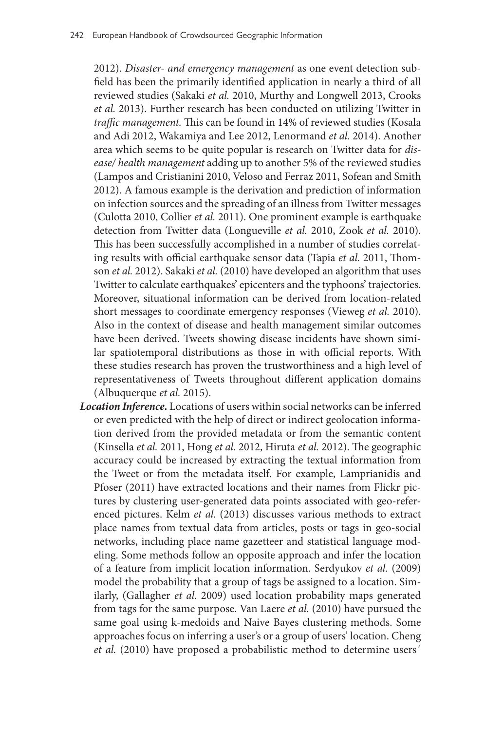2012). *Disaster- and emergency management* as one event detection subfield has been the primarily identified application in nearly a third of all reviewed studies (Sakaki *et al.* 2010, Murthy and Longwell 2013, Crooks *et al.* 2013). Further research has been conducted on utilizing Twitter in *traffic management.* This can be found in 14% of reviewed studies (Kosala and Adi 2012, Wakamiya and Lee 2012, Lenormand *et al.* 2014). Another area which seems to be quite popular is research on Twitter data for *disease/ health management* adding up to another 5% of the reviewed studies (Lampos and Cristianini 2010, Veloso and Ferraz 2011, Sofean and Smith 2012). A famous example is the derivation and prediction of information on infection sources and the spreading of an illness from Twitter messages (Culotta 2010, Collier *et al.* 2011). One prominent example is earthquake detection from Twitter data (Longueville *et al.* 2010, Zook *et al.* 2010). This has been successfully accomplished in a number of studies correlating results with official earthquake sensor data (Tapia *et al.* 2011, Thomson *et al.* 2012). Sakaki *et al.* (2010) have developed an algorithm that uses Twitter to calculate earthquakes' epicenters and the typhoons' trajectories. Moreover, situational information can be derived from location-related short messages to coordinate emergency responses (Vieweg *et al.* 2010). Also in the context of disease and health management similar outcomes have been derived. Tweets showing disease incidents have shown similar spatiotemporal distributions as those in with official reports. With these studies research has proven the trustworthiness and a high level of representativeness of Tweets throughout different application domains (Albuquerque *et al.* 2015).

*Location Inference.* Locations of users within social networks can be inferred or even predicted with the help of direct or indirect geolocation information derived from the provided metadata or from the semantic content (Kinsella *et al.* 2011, Hong *et al.* 2012, Hiruta *et al.* 2012). The geographic accuracy could be increased by extracting the textual information from the Tweet or from the metadata itself. For example, Lamprianidis and Pfoser (2011) have extracted locations and their names from Flickr pictures by clustering user-generated data points associated with geo-referenced pictures. Kelm *et al.* (2013) discusses various methods to extract place names from textual data from articles, posts or tags in geo-social networks, including place name gazetteer and statistical language modeling. Some methods follow an opposite approach and infer the location of a feature from implicit location information. Serdyukov *et al.* (2009) model the probability that a group of tags be assigned to a location. Similarly, (Gallagher *et al.* 2009) used location probability maps generated from tags for the same purpose. Van Laere *et al.* (2010) have pursued the same goal using k-medoids and Naive Bayes clustering methods. Some approaches focus on inferring a user's or a group of users' location. Cheng *et al.* (2010) have proposed a probabilistic method to determine users´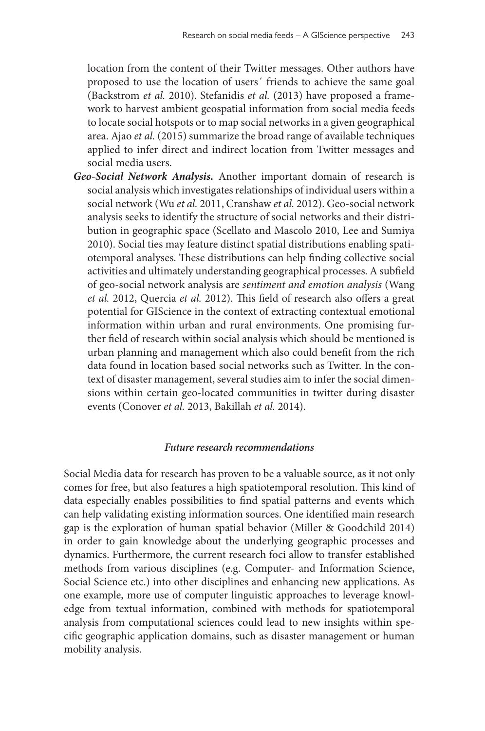location from the content of their Twitter messages. Other authors have proposed to use the location of users´ friends to achieve the same goal (Backstrom *et al.* 2010). Stefanidis *et al.* (2013) have proposed a framework to harvest ambient geospatial information from social media feeds to locate social hotspots or to map social networks in a given geographical area. Ajao *et al.* (2015) summarize the broad range of available techniques applied to infer direct and indirect location from Twitter messages and social media users.

*Geo-Social Network Analysis.* Another important domain of research is social analysis which investigates relationships of individual users within a social network (Wu *et al.* 2011, Cranshaw *et al.* 2012). Geo-social network analysis seeks to identify the structure of social networks and their distribution in geographic space (Scellato and Mascolo 2010, Lee and Sumiya 2010). Social ties may feature distinct spatial distributions enabling spatiotemporal analyses. These distributions can help finding collective social activities and ultimately understanding geographical processes. A subfield of geo-social network analysis are *sentiment and emotion analysis* (Wang *et al.* 2012, Quercia *et al.* 2012). This field of research also offers a great potential for GIScience in the context of extracting contextual emotional information within urban and rural environments. One promising further field of research within social analysis which should be mentioned is urban planning and management which also could benefit from the rich data found in location based social networks such as Twitter. In the context of disaster management, several studies aim to infer the social dimensions within certain geo-located communities in twitter during disaster events (Conover *et al.* 2013, Bakillah *et al.* 2014).

#### *Future research recommendations*

Social Media data for research has proven to be a valuable source, as it not only comes for free, but also features a high spatiotemporal resolution. This kind of data especially enables possibilities to find spatial patterns and events which can help validating existing information sources. One identified main research gap is the exploration of human spatial behavior (Miller & Goodchild 2014) in order to gain knowledge about the underlying geographic processes and dynamics. Furthermore, the current research foci allow to transfer established methods from various disciplines (e.g. Computer- and Information Science, Social Science etc.) into other disciplines and enhancing new applications. As one example, more use of computer linguistic approaches to leverage knowledge from textual information, combined with methods for spatiotemporal analysis from computational sciences could lead to new insights within specific geographic application domains, such as disaster management or human mobility analysis.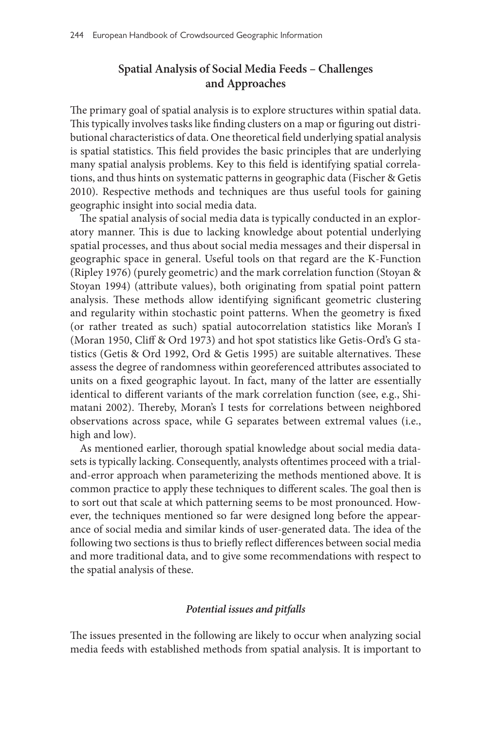# **Spatial Analysis of Social Media Feeds – Challenges and Approaches**

The primary goal of spatial analysis is to explore structures within spatial data. This typically involves tasks like finding clusters on a map or figuring out distributional characteristics of data. One theoretical field underlying spatial analysis is spatial statistics. This field provides the basic principles that are underlying many spatial analysis problems. Key to this field is identifying spatial correlations, and thus hints on systematic patterns in geographic data (Fischer & Getis 2010). Respective methods and techniques are thus useful tools for gaining geographic insight into social media data.

The spatial analysis of social media data is typically conducted in an exploratory manner. This is due to lacking knowledge about potential underlying spatial processes, and thus about social media messages and their dispersal in geographic space in general. Useful tools on that regard are the K-Function (Ripley 1976) (purely geometric) and the mark correlation function (Stoyan & Stoyan 1994) (attribute values), both originating from spatial point pattern analysis. These methods allow identifying significant geometric clustering and regularity within stochastic point patterns. When the geometry is fixed (or rather treated as such) spatial autocorrelation statistics like Moran's I (Moran 1950, Cliff & Ord 1973) and hot spot statistics like Getis-Ord's G statistics (Getis & Ord 1992, Ord & Getis 1995) are suitable alternatives. These assess the degree of randomness within georeferenced attributes associated to units on a fixed geographic layout. In fact, many of the latter are essentially identical to different variants of the mark correlation function (see, e.g., Shimatani 2002). Thereby, Moran's I tests for correlations between neighbored observations across space, while G separates between extremal values (i.e., high and low).

As mentioned earlier, thorough spatial knowledge about social media datasets is typically lacking. Consequently, analysts oftentimes proceed with a trialand-error approach when parameterizing the methods mentioned above. It is common practice to apply these techniques to different scales. The goal then is to sort out that scale at which patterning seems to be most pronounced. However, the techniques mentioned so far were designed long before the appearance of social media and similar kinds of user-generated data. The idea of the following two sections is thus to briefly reflect differences between social media and more traditional data, and to give some recommendations with respect to the spatial analysis of these.

### *Potential issues and pitfalls*

The issues presented in the following are likely to occur when analyzing social media feeds with established methods from spatial analysis. It is important to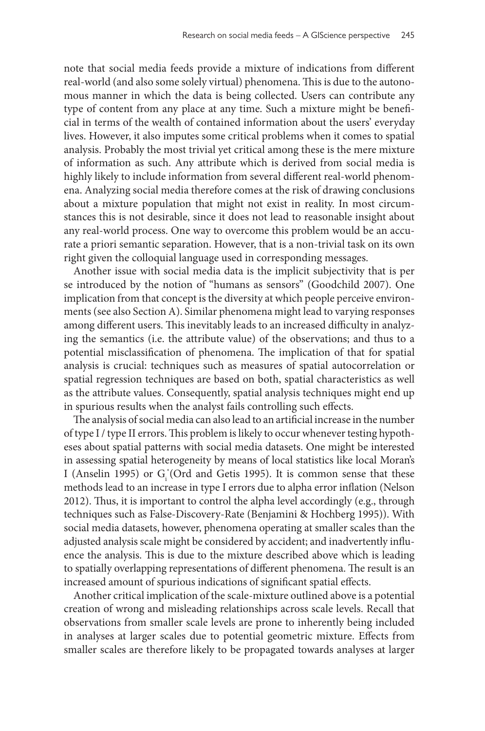note that social media feeds provide a mixture of indications from different real-world (and also some solely virtual) phenomena. This is due to the autonomous manner in which the data is being collected. Users can contribute any type of content from any place at any time. Such a mixture might be beneficial in terms of the wealth of contained information about the users' everyday lives. However, it also imputes some critical problems when it comes to spatial analysis. Probably the most trivial yet critical among these is the mere mixture of information as such. Any attribute which is derived from social media is highly likely to include information from several different real-world phenomena. Analyzing social media therefore comes at the risk of drawing conclusions about a mixture population that might not exist in reality. In most circumstances this is not desirable, since it does not lead to reasonable insight about any real-world process. One way to overcome this problem would be an accurate a priori semantic separation. However, that is a non-trivial task on its own right given the colloquial language used in corresponding messages.

Another issue with social media data is the implicit subjectivity that is per se introduced by the notion of "humans as sensors" (Goodchild 2007). One implication from that concept is the diversity at which people perceive environments (see also Section A). Similar phenomena might lead to varying responses among different users. This inevitably leads to an increased difficulty in analyzing the semantics (i.e. the attribute value) of the observations; and thus to a potential misclassification of phenomena. The implication of that for spatial analysis is crucial: techniques such as measures of spatial autocorrelation or spatial regression techniques are based on both, spatial characteristics as well as the attribute values. Consequently, spatial analysis techniques might end up in spurious results when the analyst fails controlling such effects.

The analysis of social media can also lead to an artificial increase in the number of type I / type II errors. This problem is likely to occur whenever testing hypotheses about spatial patterns with social media datasets. One might be interested in assessing spatial heterogeneity by means of local statistics like local Moran's I (Anselin 1995) or  $G_i^{\star}$ (Ord and Getis 1995). It is common sense that these methods lead to an increase in type I errors due to alpha error inflation (Nelson 2012). Thus, it is important to control the alpha level accordingly (e.g., through techniques such as False-Discovery-Rate (Benjamini & Hochberg 1995)). With social media datasets, however, phenomena operating at smaller scales than the adjusted analysis scale might be considered by accident; and inadvertently influence the analysis. This is due to the mixture described above which is leading to spatially overlapping representations of different phenomena. The result is an increased amount of spurious indications of significant spatial effects.

Another critical implication of the scale-mixture outlined above is a potential creation of wrong and misleading relationships across scale levels. Recall that observations from smaller scale levels are prone to inherently being included in analyses at larger scales due to potential geometric mixture. Effects from smaller scales are therefore likely to be propagated towards analyses at larger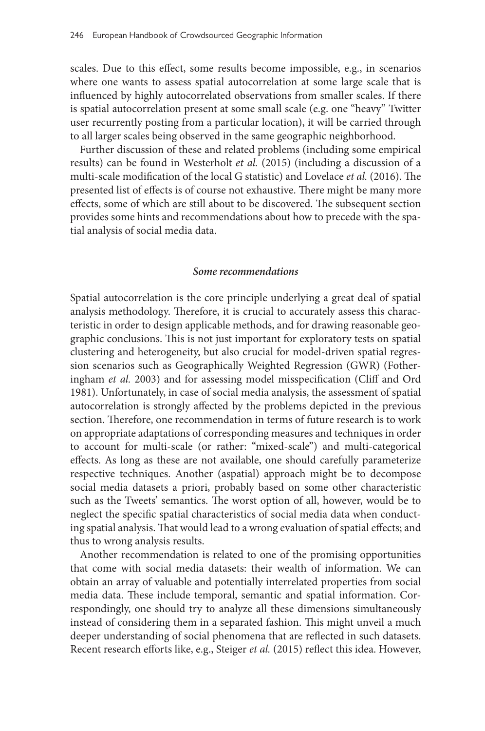scales. Due to this effect, some results become impossible, e.g., in scenarios where one wants to assess spatial autocorrelation at some large scale that is influenced by highly autocorrelated observations from smaller scales. If there is spatial autocorrelation present at some small scale (e.g. one "heavy" Twitter user recurrently posting from a particular location), it will be carried through to all larger scales being observed in the same geographic neighborhood.

Further discussion of these and related problems (including some empirical results) can be found in Westerholt *et al.* (2015) (including a discussion of a multi-scale modification of the local G statistic) and Lovelace *et al.* (2016). The presented list of effects is of course not exhaustive. There might be many more effects, some of which are still about to be discovered. The subsequent section provides some hints and recommendations about how to precede with the spatial analysis of social media data.

#### *Some recommendations*

Spatial autocorrelation is the core principle underlying a great deal of spatial analysis methodology. Therefore, it is crucial to accurately assess this characteristic in order to design applicable methods, and for drawing reasonable geographic conclusions. This is not just important for exploratory tests on spatial clustering and heterogeneity, but also crucial for model-driven spatial regression scenarios such as Geographically Weighted Regression (GWR) (Fotheringham *et al.* 2003) and for assessing model misspecification (Cliff and Ord 1981). Unfortunately, in case of social media analysis, the assessment of spatial autocorrelation is strongly affected by the problems depicted in the previous section. Therefore, one recommendation in terms of future research is to work on appropriate adaptations of corresponding measures and techniques in order to account for multi-scale (or rather: "mixed-scale") and multi-categorical effects. As long as these are not available, one should carefully parameterize respective techniques. Another (aspatial) approach might be to decompose social media datasets a priori, probably based on some other characteristic such as the Tweets' semantics. The worst option of all, however, would be to neglect the specific spatial characteristics of social media data when conducting spatial analysis. That would lead to a wrong evaluation of spatial effects; and thus to wrong analysis results.

Another recommendation is related to one of the promising opportunities that come with social media datasets: their wealth of information. We can obtain an array of valuable and potentially interrelated properties from social media data. These include temporal, semantic and spatial information. Correspondingly, one should try to analyze all these dimensions simultaneously instead of considering them in a separated fashion. This might unveil a much deeper understanding of social phenomena that are reflected in such datasets. Recent research efforts like, e.g., Steiger *et al.* (2015) reflect this idea. However,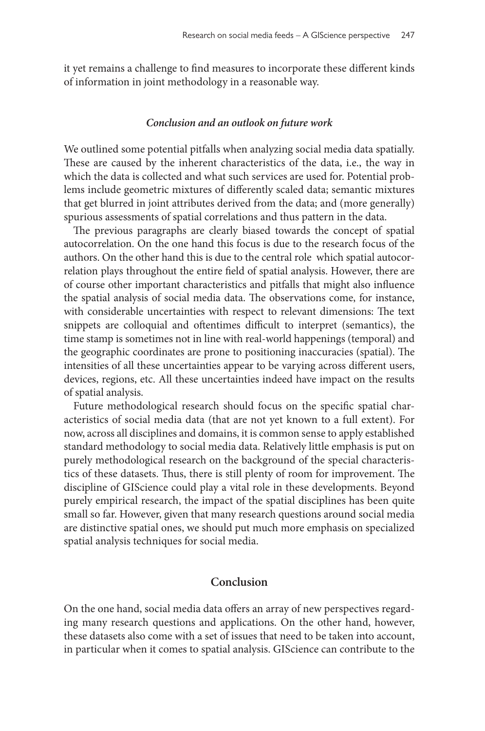it yet remains a challenge to find measures to incorporate these different kinds of information in joint methodology in a reasonable way.

#### *Conclusion and an outlook on future work*

We outlined some potential pitfalls when analyzing social media data spatially. These are caused by the inherent characteristics of the data, i.e., the way in which the data is collected and what such services are used for. Potential problems include geometric mixtures of differently scaled data; semantic mixtures that get blurred in joint attributes derived from the data; and (more generally) spurious assessments of spatial correlations and thus pattern in the data.

The previous paragraphs are clearly biased towards the concept of spatial autocorrelation. On the one hand this focus is due to the research focus of the authors. On the other hand this is due to the central role which spatial autocorrelation plays throughout the entire field of spatial analysis. However, there are of course other important characteristics and pitfalls that might also influence the spatial analysis of social media data. The observations come, for instance, with considerable uncertainties with respect to relevant dimensions: The text snippets are colloquial and oftentimes difficult to interpret (semantics), the time stamp is sometimes not in line with real-world happenings (temporal) and the geographic coordinates are prone to positioning inaccuracies (spatial). The intensities of all these uncertainties appear to be varying across different users, devices, regions, etc. All these uncertainties indeed have impact on the results of spatial analysis.

Future methodological research should focus on the specific spatial characteristics of social media data (that are not yet known to a full extent). For now, across all disciplines and domains, it is common sense to apply established standard methodology to social media data. Relatively little emphasis is put on purely methodological research on the background of the special characteristics of these datasets. Thus, there is still plenty of room for improvement. The discipline of GIScience could play a vital role in these developments. Beyond purely empirical research, the impact of the spatial disciplines has been quite small so far. However, given that many research questions around social media are distinctive spatial ones, we should put much more emphasis on specialized spatial analysis techniques for social media.

### **Conclusion**

On the one hand, social media data offers an array of new perspectives regarding many research questions and applications. On the other hand, however, these datasets also come with a set of issues that need to be taken into account, in particular when it comes to spatial analysis. GIScience can contribute to the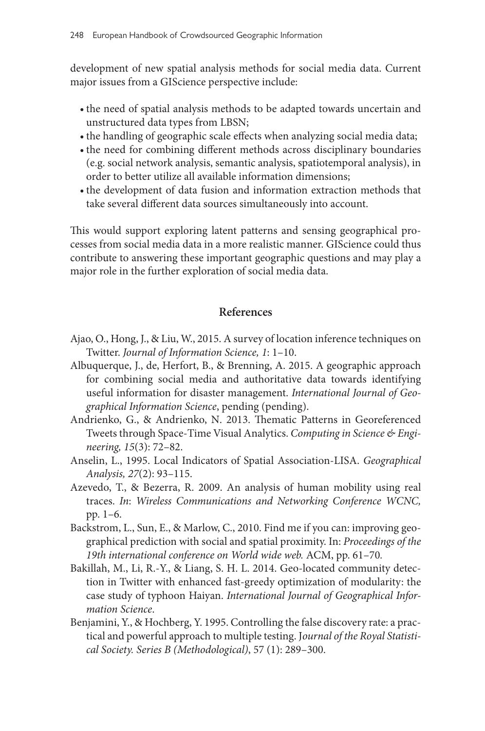development of new spatial analysis methods for social media data. Current major issues from a GIScience perspective include:

- •the need of spatial analysis methods to be adapted towards uncertain and unstructured data types from LBSN;
- •the handling of geographic scale effects when analyzing social media data;
- •the need for combining different methods across disciplinary boundaries (e.g. social network analysis, semantic analysis, spatiotemporal analysis), in order to better utilize all available information dimensions;
- •the development of data fusion and information extraction methods that take several different data sources simultaneously into account.

This would support exploring latent patterns and sensing geographical processes from social media data in a more realistic manner. GIScience could thus contribute to answering these important geographic questions and may play a major role in the further exploration of social media data.

## **References**

- Ajao, O., Hong, J., & Liu, W., 2015. A survey of location inference techniques on Twitter. *Journal of Information Science, 1*: 1–10.
- Albuquerque, J., de, Herfort, B., & Brenning, A. 2015. A geographic approach for combining social media and authoritative data towards identifying useful information for disaster management. *International Journal of Geographical Information Science*, pending (pending).
- Andrienko, G., & Andrienko, N. 2013. Thematic Patterns in Georeferenced Tweets through Space-Time Visual Analytics. *Computing in Science & Engineering, 15*(3): 72–82.
- Anselin, L., 1995. Local Indicators of Spatial Association-LISA. *Geographical Analysis, 27*(2): 93–115.
- Azevedo, T., & Bezerra, R. 2009. An analysis of human mobility using real traces. *In*: *Wireless Communications and Networking Conference WCNC,* pp. 1–6.
- Backstrom, L., Sun, E., & Marlow, C., 2010. Find me if you can: improving geographical prediction with social and spatial proximity. In: *Proceedings of the 19th international conference on World wide web.* ACM, pp. 61–70*.*
- Bakillah, M., Li, R.-Y., & Liang, S. H. L. 2014. Geo-located community detection in Twitter with enhanced fast-greedy optimization of modularity: the case study of typhoon Haiyan. *International Journal of Geographical Information Science*.
- Benjamini, Y., & Hochberg, Y. 1995. Controlling the false discovery rate: a practical and powerful approach to multiple testing. J*ournal of the Royal Statistical Society. Series B (Methodological)*, 57 (1): 289–300.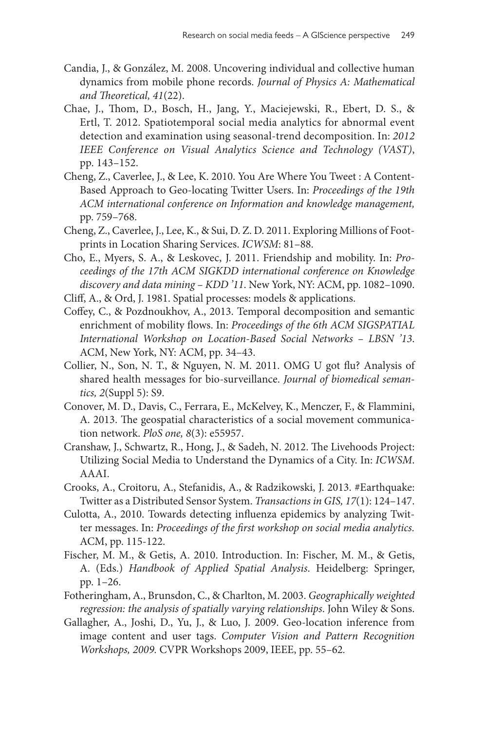- Candia, J., & González, M. 2008. Uncovering individual and collective human dynamics from mobile phone records. *Journal of Physics A: Mathematical and Theoretical, 41*(22).
- Chae, J., Thom, D., Bosch, H., Jang, Y., Maciejewski, R., Ebert, D. S., & Ertl, T. 2012. Spatiotemporal social media analytics for abnormal event detection and examination using seasonal-trend decomposition. In: *2012 IEEE Conference on Visual Analytics Science and Technology (VAST)*, pp. 143–152.
- Cheng, Z., Caverlee, J., & Lee, K. 2010. You Are Where You Tweet : A Content-Based Approach to Geo-locating Twitter Users. In: *Proceedings of the 19th ACM international conference on Information and knowledge management,* pp. 759–768.
- Cheng, Z., Caverlee, J., Lee, K., & Sui, D. Z. D. 2011. Exploring Millions of Footprints in Location Sharing Services. *ICWSM*: 81–88.
- Cho, E., Myers, S. A., & Leskovec, J. 2011. Friendship and mobility. In: *Proceedings of the 17th ACM SIGKDD international conference on Knowledge discovery and data mining – KDD '11*. New York, NY: ACM, pp. 1082–1090.
- Cliff, A., & Ord, J. 1981. Spatial processes: models & applications.
- Coffey, C., & Pozdnoukhov, A., 2013. Temporal decomposition and semantic enrichment of mobility flows. In: *Proceedings of the 6th ACM SIGSPATIAL International Workshop on Location-Based Social Networks – LBSN '13*. ACM, New York, NY: ACM, pp. 34–43.
- Collier, N., Son, N. T., & Nguyen, N. M. 2011. OMG U got flu? Analysis of shared health messages for bio-surveillance. *Journal of biomedical semantics, 2*(Suppl 5): S9.
- Conover, M. D., Davis, C., Ferrara, E., McKelvey, K., Menczer, F., & Flammini, A. 2013. The geospatial characteristics of a social movement communication network. *PloS one, 8*(3): e55957.
- Cranshaw, J., Schwartz, R., Hong, J., & Sadeh, N. 2012. The Livehoods Project: Utilizing Social Media to Understand the Dynamics of a City. In: *ICWSM*. AAAI.
- Crooks, A., Croitoru, A., Stefanidis, A., & Radzikowski, J. 2013. #Earthquake: Twitter as a Distributed Sensor System. *Transactions in GIS, 17*(1): 124–147.
- Culotta, A., 2010. Towards detecting influenza epidemics by analyzing Twitter messages. In: *Proceedings of the first workshop on social media analytics.*  ACM, pp. 115-122.
- Fischer, M. M., & Getis, A. 2010. Introduction. In: Fischer, M. M., & Getis, A. (Eds.) *Handbook of Applied Spatial Analysis*. Heidelberg: Springer, pp. 1–26.
- Fotheringham, A., Brunsdon, C., & Charlton, M. 2003. *Geographically weighted regression: the analysis of spatially varying relationships*. John Wiley & Sons.
- Gallagher, A., Joshi, D., Yu, J., & Luo, J. 2009. Geo-location inference from image content and user tags. *Computer Vision and Pattern Recognition Workshops, 2009.* CVPR Workshops 2009, IEEE, pp. 55–62*.*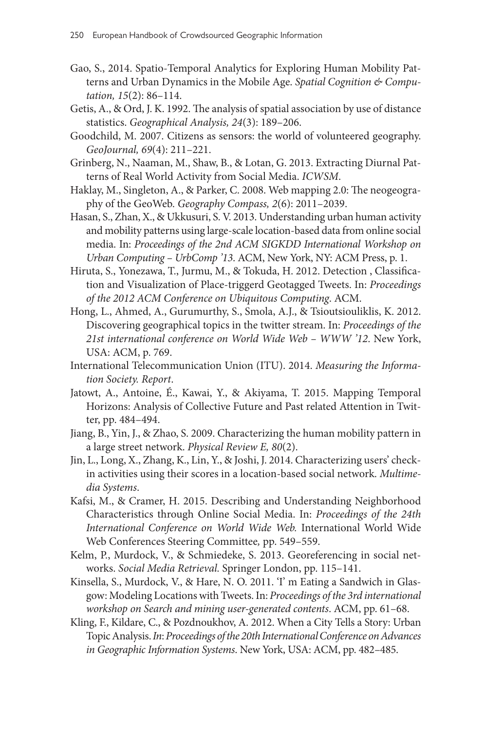- Gao, S., 2014. Spatio-Temporal Analytics for Exploring Human Mobility Patterns and Urban Dynamics in the Mobile Age. *Spatial Cognition & Computation, 15*(2): 86–114.
- Getis, A., & Ord, J. K. 1992. The analysis of spatial association by use of distance statistics. *Geographical Analysis, 24*(3): 189–206.
- Goodchild, M. 2007. Citizens as sensors: the world of volunteered geography. *GeoJournal, 69*(4): 211–221.
- Grinberg, N., Naaman, M., Shaw, B., & Lotan, G. 2013. Extracting Diurnal Patterns of Real World Activity from Social Media. *ICWSM*.
- Haklay, M., Singleton, A., & Parker, C. 2008. Web mapping 2.0: The neogeography of the GeoWeb. *Geography Compass, 2*(6): 2011–2039.
- Hasan, S., Zhan, X., & Ukkusuri, S. V. 2013. Understanding urban human activity and mobility patterns using large-scale location-based data from online social media. In: *Proceedings of the 2nd ACM SIGKDD International Workshop on Urban Computing – UrbComp '13*. ACM, New York, NY: ACM Press, p. 1.
- Hiruta, S., Yonezawa, T., Jurmu, M., & Tokuda, H. 2012. Detection , Classification and Visualization of Place-triggerd Geotagged Tweets. In: *Proceedings of the 2012 ACM Conference on Ubiquitous Computing*. ACM.
- Hong, L., Ahmed, A., Gurumurthy, S., Smola, A.J., & Tsioutsiouliklis, K. 2012. Discovering geographical topics in the twitter stream. In: *Proceedings of the 21st international conference on World Wide Web – WWW '12*. New York, USA: ACM, p. 769.
- International Telecommunication Union (ITU). 2014. *Measuring the Information Society. Report*.
- Jatowt, A., Antoine, É., Kawai, Y., & Akiyama, T. 2015. Mapping Temporal Horizons: Analysis of Collective Future and Past related Attention in Twitter, pp. 484–494.
- Jiang, B., Yin, J., & Zhao, S. 2009. Characterizing the human mobility pattern in a large street network. *Physical Review E, 80*(2).
- Jin, L., Long, X., Zhang, K., Lin, Y., & Joshi, J. 2014. Characterizing users' checkin activities using their scores in a location-based social network. *Multimedia Systems*.
- Kafsi, M., & Cramer, H. 2015. Describing and Understanding Neighborhood Characteristics through Online Social Media. In: *Proceedings of the 24th International Conference on World Wide Web.* International World Wide Web Conferences Steering Committee*,* pp. 549–559.
- Kelm, P., Murdock, V., & Schmiedeke, S. 2013. Georeferencing in social networks. *Social Media Retrieval.* Springer London, pp. 115–141.
- Kinsella, S., Murdock, V., & Hare, N. O. 2011. 'I' m Eating a Sandwich in Glasgow: Modeling Locations with Tweets. In: *Proceedings of the 3rd international workshop on Search and mining user-generated contents*. ACM, pp. 61–68.
- Kling, F., Kildare, C., & Pozdnoukhov, A. 2012. When a City Tells a Story: Urban Topic Analysis. *In*: *Proceedings of the 20th International Conference on Advances in Geographic Information Systems*. New York, USA: ACM, pp. 482–485.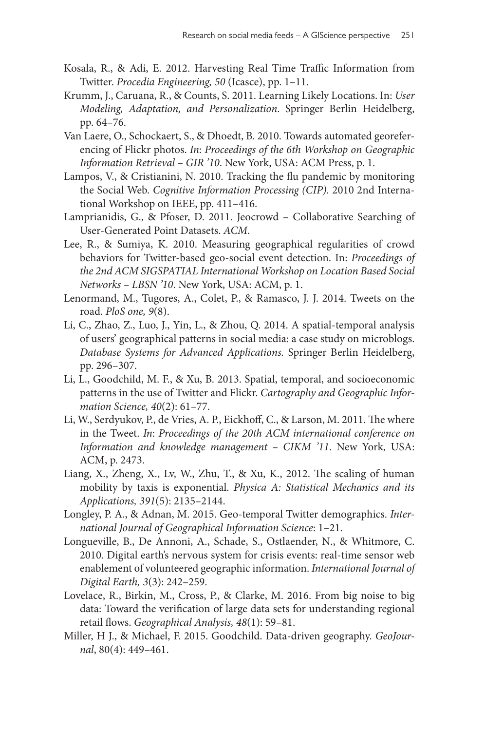- Kosala, R., & Adi, E. 2012. Harvesting Real Time Traffic Information from Twitter. *Procedia Engineering, 50* (Icasce), pp. 1–11.
- Krumm, J., Caruana, R., & Counts, S. 2011. Learning Likely Locations. In: *User Modeling, Adaptation, and Personalization*. Springer Berlin Heidelberg, pp. 64–76.
- Van Laere, O., Schockaert, S., & Dhoedt, B. 2010. Towards automated georeferencing of Flickr photos. *In*: *Proceedings of the 6th Workshop on Geographic Information Retrieval – GIR '10*. New York, USA: ACM Press, p. 1.
- Lampos, V., & Cristianini, N. 2010. Tracking the flu pandemic by monitoring the Social Web. *Cognitive Information Processing (CIP).* 2010 2nd International Workshop on IEEE, pp. 411–416.
- Lamprianidis, G., & Pfoser, D. 2011. Jeocrowd Collaborative Searching of User-Generated Point Datasets. *ACM*.
- Lee, R., & Sumiya, K. 2010. Measuring geographical regularities of crowd behaviors for Twitter-based geo-social event detection. In: *Proceedings of the 2nd ACM SIGSPATIAL International Workshop on Location Based Social Networks – LBSN '10*. New York, USA: ACM, p. 1.
- Lenormand, M., Tugores, A., Colet, P., & Ramasco, J. J. 2014. Tweets on the road. *PloS one, 9*(8).
- Li, C., Zhao, Z., Luo, J., Yin, L., & Zhou, Q. 2014. A spatial-temporal analysis of users' geographical patterns in social media: a case study on microblogs. *Database Systems for Advanced Applications.* Springer Berlin Heidelberg, pp. 296–307.
- Li, L., Goodchild, M. F., & Xu, B. 2013. Spatial, temporal, and socioeconomic patterns in the use of Twitter and Flickr. *Cartography and Geographic Information Science, 40*(2): 61–77.
- Li, W., Serdyukov, P., de Vries, A. P., Eickhoff, C., & Larson, M. 2011. The where in the Tweet. *In*: *Proceedings of the 20th ACM international conference on Information and knowledge management – CIKM '11*. New York, USA: ACM, p. 2473.
- Liang, X., Zheng, X., Lv, W., Zhu, T., & Xu, K., 2012. The scaling of human mobility by taxis is exponential. *Physica A: Statistical Mechanics and its Applications, 391*(5): 2135–2144.
- Longley, P. A., & Adnan, M. 2015. Geo-temporal Twitter demographics. *International Journal of Geographical Information Science*: 1–21.
- Longueville, B., De Annoni, A., Schade, S., Ostlaender, N., & Whitmore, C. 2010. Digital earth's nervous system for crisis events: real-time sensor web enablement of volunteered geographic information. *International Journal of Digital Earth, 3*(3): 242–259.
- Lovelace, R., Birkin, M., Cross, P., & Clarke, M. 2016. From big noise to big data: Toward the verification of large data sets for understanding regional retail flows. *Geographical Analysis, 48*(1): 59–81.
- Miller, H J., & Michael, F. 2015. Goodchild. Data-driven geography. *GeoJournal*, 80(4): 449–461.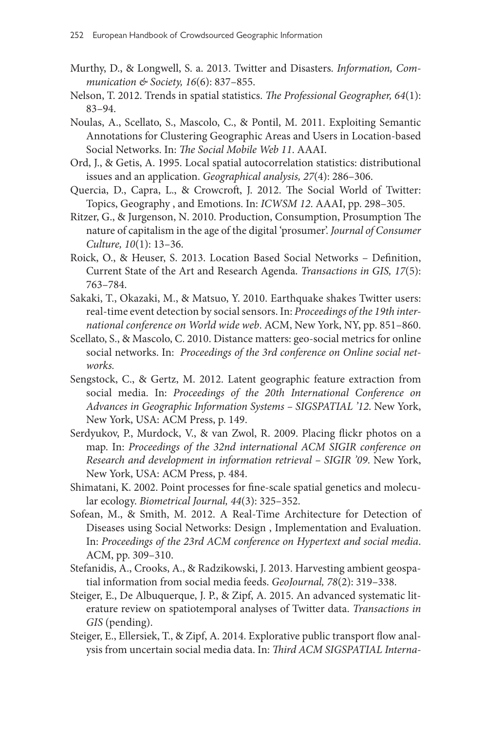- Murthy, D., & Longwell, S. a. 2013. Twitter and Disasters. *Information, Communication & Society, 16*(6): 837–855.
- Nelson, T. 2012. Trends in spatial statistics. *The Professional Geographer, 64*(1): 83–94.
- Noulas, A., Scellato, S., Mascolo, C., & Pontil, M. 2011. Exploiting Semantic Annotations for Clustering Geographic Areas and Users in Location-based Social Networks. In: *The Social Mobile Web 11*. AAAI.
- Ord, J., & Getis, A. 1995. Local spatial autocorrelation statistics: distributional issues and an application. *Geographical analysis, 27*(4): 286–306.
- Quercia, D., Capra, L., & Crowcroft, J. 2012. The Social World of Twitter: Topics, Geography , and Emotions. In: *ICWSM 12*. AAAI, pp. 298–305.
- Ritzer, G., & Jurgenson, N. 2010. Production, Consumption, Prosumption The nature of capitalism in the age of the digital 'prosumer'. *Journal of Consumer Culture, 10*(1): 13–36.
- Roick, O., & Heuser, S. 2013. Location Based Social Networks Definition, Current State of the Art and Research Agenda. *Transactions in GIS, 17*(5): 763–784.
- Sakaki, T., Okazaki, M., & Matsuo, Y. 2010. Earthquake shakes Twitter users: real-time event detection by social sensors. In: *Proceedings of the 19th international conference on World wide web*. ACM, New York, NY, pp. 851–860.
- Scellato, S., & Mascolo, C. 2010. Distance matters: geo-social metrics for online social networks. In: *Proceedings of the 3rd conference on Online social networks.*
- Sengstock, C., & Gertz, M. 2012. Latent geographic feature extraction from social media. In: *Proceedings of the 20th International Conference on Advances in Geographic Information Systems – SIGSPATIAL '12*. New York, New York, USA: ACM Press, p. 149.
- Serdyukov, P., Murdock, V., & van Zwol, R. 2009. Placing flickr photos on a map. In: *Proceedings of the 32nd international ACM SIGIR conference on Research and development in information retrieval – SIGIR '09*. New York, New York, USA: ACM Press, p. 484.
- Shimatani, K. 2002. Point processes for fine-scale spatial genetics and molecular ecology. *Biometrical Journal, 44*(3): 325–352.
- Sofean, M., & Smith, M. 2012. A Real-Time Architecture for Detection of Diseases using Social Networks: Design , Implementation and Evaluation. In: *Proceedings of the 23rd ACM conference on Hypertext and social media*. ACM, pp. 309–310.
- Stefanidis, A., Crooks, A., & Radzikowski, J. 2013. Harvesting ambient geospatial information from social media feeds. *GeoJournal, 78*(2): 319–338.
- Steiger, E., De Albuquerque, J. P., & Zipf, A. 2015. An advanced systematic literature review on spatiotemporal analyses of Twitter data. *Transactions in GIS* (pending).
- Steiger, E., Ellersiek, T., & Zipf, A. 2014. Explorative public transport flow analysis from uncertain social media data. In: *Third ACM SIGSPATIAL Interna-*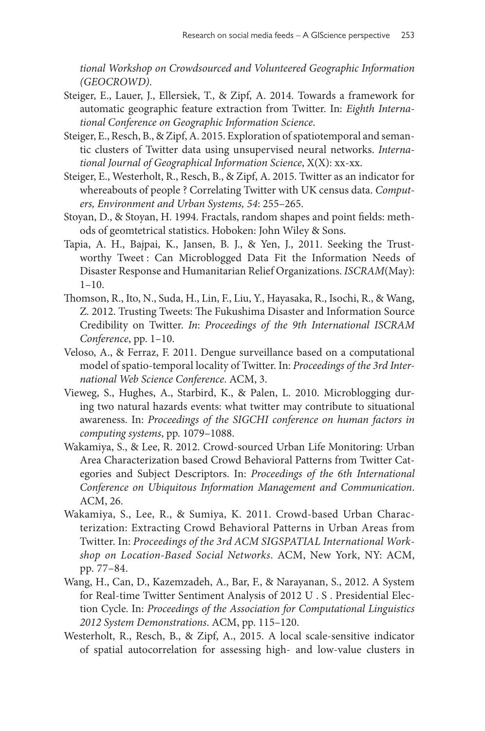*tional Workshop on Crowdsourced and Volunteered Geographic Information (GEOCROWD)*.

- Steiger, E., Lauer, J., Ellersiek, T., & Zipf, A. 2014. Towards a framework for automatic geographic feature extraction from Twitter. In: *Eighth International Conference on Geographic Information Science*.
- Steiger, E., Resch, B., & Zipf, A. 2015. Exploration of spatiotemporal and semantic clusters of Twitter data using unsupervised neural networks. *International Journal of Geographical Information Science*, X(X): xx-xx.
- Steiger, E., Westerholt, R., Resch, B., & Zipf, A. 2015. Twitter as an indicator for whereabouts of people ? Correlating Twitter with UK census data. *Computers, Environment and Urban Systems, 54*: 255–265.
- Stoyan, D., & Stoyan, H. 1994. Fractals, random shapes and point fields: methods of geomtetrical statistics. Hoboken: John Wiley & Sons.
- Tapia, A. H., Bajpai, K., Jansen, B. J., & Yen, J., 2011. Seeking the Trustworthy Tweet : Can Microblogged Data Fit the Information Needs of Disaster Response and Humanitarian Relief Organizations. *ISCRAM*(May): 1–10.
- Thomson, R., Ito, N., Suda, H., Lin, F., Liu, Y., Hayasaka, R., Isochi, R., & Wang, Z. 2012. Trusting Tweets: The Fukushima Disaster and Information Source Credibility on Twitter. *In*: *Proceedings of the 9th International ISCRAM Conference*, pp. 1–10.
- Veloso, A., & Ferraz, F. 2011. Dengue surveillance based on a computational model of spatio-temporal locality of Twitter. In: *Proceedings of the 3rd International Web Science Conference*. ACM, 3.
- Vieweg, S., Hughes, A., Starbird, K., & Palen, L. 2010. Microblogging during two natural hazards events: what twitter may contribute to situational awareness. In: *Proceedings of the SIGCHI conference on human factors in computing systems*, pp. 1079–1088.
- Wakamiya, S., & Lee, R. 2012. Crowd-sourced Urban Life Monitoring: Urban Area Characterization based Crowd Behavioral Patterns from Twitter Categories and Subject Descriptors. In: *Proceedings of the 6th International Conference on Ubiquitous Information Management and Communication*. ACM, 26.
- Wakamiya, S., Lee, R., & Sumiya, K. 2011. Crowd-based Urban Characterization: Extracting Crowd Behavioral Patterns in Urban Areas from Twitter. In: *Proceedings of the 3rd ACM SIGSPATIAL International Workshop on Location-Based Social Networks*. ACM, New York, NY: ACM, pp. 77–84.
- Wang, H., Can, D., Kazemzadeh, A., Bar, F., & Narayanan, S., 2012. A System for Real-time Twitter Sentiment Analysis of 2012 U . S . Presidential Election Cycle. In: *Proceedings of the Association for Computational Linguistics 2012 System Demonstrations*. ACM, pp. 115–120.
- Westerholt, R., Resch, B., & Zipf, A., 2015. A local scale-sensitive indicator of spatial autocorrelation for assessing high- and low-value clusters in